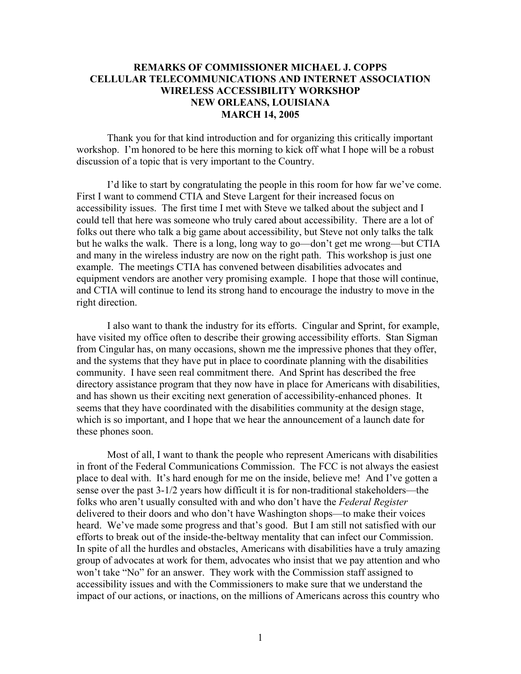# **REMARKS OF COMMISSIONER MICHAEL J. COPPS CELLULAR TELECOMMUNICATIONS AND INTERNET ASSOCIATION WIRELESS ACCESSIBILITY WORKSHOP NEW ORLEANS, LOUISIANA MARCH 14, 2005**

Thank you for that kind introduction and for organizing this critically important workshop. I'm honored to be here this morning to kick off what I hope will be a robust discussion of a topic that is very important to the Country.

 I'd like to start by congratulating the people in this room for how far we've come. First I want to commend CTIA and Steve Largent for their increased focus on accessibility issues. The first time I met with Steve we talked about the subject and I could tell that here was someone who truly cared about accessibility. There are a lot of folks out there who talk a big game about accessibility, but Steve not only talks the talk but he walks the walk. There is a long, long way to go—don't get me wrong—but CTIA and many in the wireless industry are now on the right path. This workshop is just one example. The meetings CTIA has convened between disabilities advocates and equipment vendors are another very promising example. I hope that those will continue, and CTIA will continue to lend its strong hand to encourage the industry to move in the right direction.

 I also want to thank the industry for its efforts. Cingular and Sprint, for example, have visited my office often to describe their growing accessibility efforts. Stan Sigman from Cingular has, on many occasions, shown me the impressive phones that they offer, and the systems that they have put in place to coordinate planning with the disabilities community. I have seen real commitment there. And Sprint has described the free directory assistance program that they now have in place for Americans with disabilities, and has shown us their exciting next generation of accessibility-enhanced phones. It seems that they have coordinated with the disabilities community at the design stage, which is so important, and I hope that we hear the announcement of a launch date for these phones soon.

 Most of all, I want to thank the people who represent Americans with disabilities in front of the Federal Communications Commission. The FCC is not always the easiest place to deal with. It's hard enough for me on the inside, believe me! And I've gotten a sense over the past 3-1/2 years how difficult it is for non-traditional stakeholders—the folks who aren't usually consulted with and who don't have the *Federal Register* delivered to their doors and who don't have Washington shops—to make their voices heard. We've made some progress and that's good. But I am still not satisfied with our efforts to break out of the inside-the-beltway mentality that can infect our Commission. In spite of all the hurdles and obstacles, Americans with disabilities have a truly amazing group of advocates at work for them, advocates who insist that we pay attention and who won't take "No" for an answer. They work with the Commission staff assigned to accessibility issues and with the Commissioners to make sure that we understand the impact of our actions, or inactions, on the millions of Americans across this country who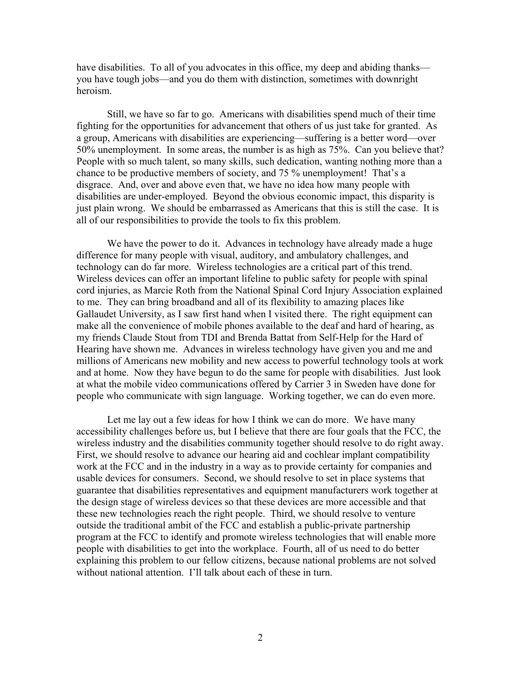have disabilities. To all of you advocates in this office, my deep and abiding thanks you have tough jobs—and you do them with distinction, sometimes with downright heroism.

 Still, we have so far to go. Americans with disabilities spend much of their time fighting for the opportunities for advancement that others of us just take for granted. As a group, Americans with disabilities are experiencing—suffering is a better word—over 50% unemployment. In some areas, the number is as high as 75%. Can you believe that? People with so much talent, so many skills, such dedication, wanting nothing more than a chance to be productive members of society, and 75 % unemployment! That's a disgrace. And, over and above even that, we have no idea how many people with disabilities are under-employed. Beyond the obvious economic impact, this disparity is just plain wrong. We should be embarrassed as Americans that this is still the case. It is all of our responsibilities to provide the tools to fix this problem.

We have the power to do it. Advances in technology have already made a huge difference for many people with visual, auditory, and ambulatory challenges, and technology can do far more. Wireless technologies are a critical part of this trend. Wireless devices can offer an important lifeline to public safety for people with spinal cord injuries, as Marcie Roth from the National Spinal Cord Injury Association explained to me. They can bring broadband and all of its flexibility to amazing places like Gallaudet University, as I saw first hand when I visited there. The right equipment can make all the convenience of mobile phones available to the deaf and hard of hearing, as my friends Claude Stout from TDI and Brenda Battat from Self-Help for the Hard of Hearing have shown me. Advances in wireless technology have given you and me and millions of Americans new mobility and new access to powerful technology tools at work and at home. Now they have begun to do the same for people with disabilities. Just look at what the mobile video communications offered by Carrier 3 in Sweden have done for people who communicate with sign language. Working together, we can do even more.

 Let me lay out a few ideas for how I think we can do more. We have many accessibility challenges before us, but I believe that there are four goals that the FCC, the wireless industry and the disabilities community together should resolve to do right away. First, we should resolve to advance our hearing aid and cochlear implant compatibility work at the FCC and in the industry in a way as to provide certainty for companies and usable devices for consumers. Second, we should resolve to set in place systems that guarantee that disabilities representatives and equipment manufacturers work together at the design stage of wireless devices so that these devices are more accessible and that these new technologies reach the right people. Third, we should resolve to venture outside the traditional ambit of the FCC and establish a public-private partnership program at the FCC to identify and promote wireless technologies that will enable more people with disabilities to get into the workplace. Fourth, all of us need to do better explaining this problem to our fellow citizens, because national problems are not solved without national attention. I'll talk about each of these in turn.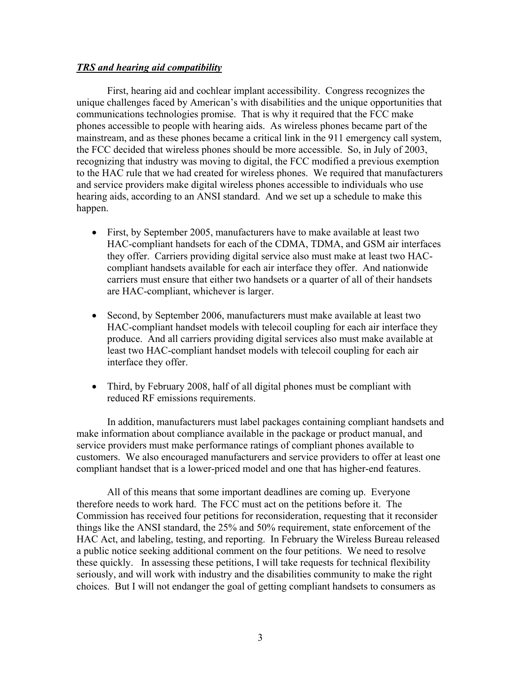# *TRS and hearing aid compatibility*

 First, hearing aid and cochlear implant accessibility. Congress recognizes the unique challenges faced by American's with disabilities and the unique opportunities that communications technologies promise. That is why it required that the FCC make phones accessible to people with hearing aids. As wireless phones became part of the mainstream, and as these phones became a critical link in the 911 emergency call system, the FCC decided that wireless phones should be more accessible. So, in July of 2003, recognizing that industry was moving to digital, the FCC modified a previous exemption to the HAC rule that we had created for wireless phones. We required that manufacturers and service providers make digital wireless phones accessible to individuals who use hearing aids, according to an ANSI standard. And we set up a schedule to make this happen.

- First, by September 2005, manufacturers have to make available at least two HAC-compliant handsets for each of the CDMA, TDMA, and GSM air interfaces they offer. Carriers providing digital service also must make at least two HACcompliant handsets available for each air interface they offer. And nationwide carriers must ensure that either two handsets or a quarter of all of their handsets are HAC-compliant, whichever is larger.
- Second, by September 2006, manufacturers must make available at least two HAC-compliant handset models with telecoil coupling for each air interface they produce. And all carriers providing digital services also must make available at least two HAC-compliant handset models with telecoil coupling for each air interface they offer.
- Third, by February 2008, half of all digital phones must be compliant with reduced RF emissions requirements.

 In addition, manufacturers must label packages containing compliant handsets and make information about compliance available in the package or product manual, and service providers must make performance ratings of compliant phones available to customers. We also encouraged manufacturers and service providers to offer at least one compliant handset that is a lower-priced model and one that has higher-end features.

 All of this means that some important deadlines are coming up. Everyone therefore needs to work hard. The FCC must act on the petitions before it. The Commission has received four petitions for reconsideration, requesting that it reconsider things like the ANSI standard, the 25% and 50% requirement, state enforcement of the HAC Act, and labeling, testing, and reporting. In February the Wireless Bureau released a public notice seeking additional comment on the four petitions. We need to resolve these quickly. In assessing these petitions, I will take requests for technical flexibility seriously, and will work with industry and the disabilities community to make the right choices. But I will not endanger the goal of getting compliant handsets to consumers as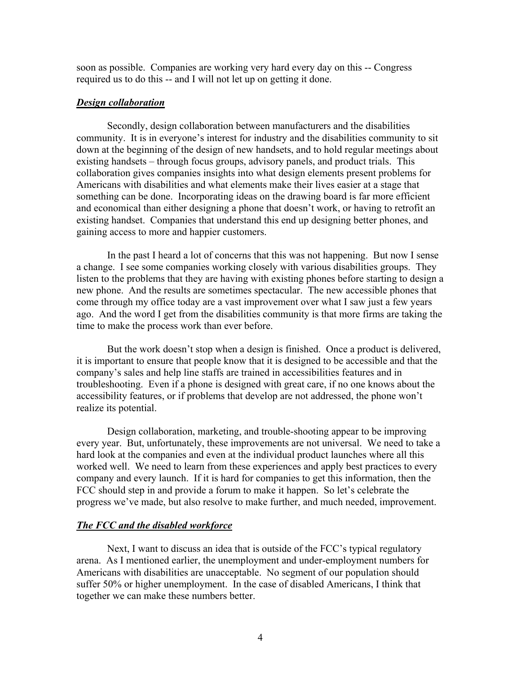soon as possible. Companies are working very hard every day on this -- Congress required us to do this -- and I will not let up on getting it done.

# *Design collaboration*

 Secondly, design collaboration between manufacturers and the disabilities community. It is in everyone's interest for industry and the disabilities community to sit down at the beginning of the design of new handsets, and to hold regular meetings about existing handsets – through focus groups, advisory panels, and product trials. This collaboration gives companies insights into what design elements present problems for Americans with disabilities and what elements make their lives easier at a stage that something can be done. Incorporating ideas on the drawing board is far more efficient and economical than either designing a phone that doesn't work, or having to retrofit an existing handset. Companies that understand this end up designing better phones, and gaining access to more and happier customers.

 In the past I heard a lot of concerns that this was not happening. But now I sense a change. I see some companies working closely with various disabilities groups. They listen to the problems that they are having with existing phones before starting to design a new phone. And the results are sometimes spectacular. The new accessible phones that come through my office today are a vast improvement over what I saw just a few years ago. And the word I get from the disabilities community is that more firms are taking the time to make the process work than ever before.

 But the work doesn't stop when a design is finished. Once a product is delivered, it is important to ensure that people know that it is designed to be accessible and that the company's sales and help line staffs are trained in accessibilities features and in troubleshooting. Even if a phone is designed with great care, if no one knows about the accessibility features, or if problems that develop are not addressed, the phone won't realize its potential.

 Design collaboration, marketing, and trouble-shooting appear to be improving every year. But, unfortunately, these improvements are not universal. We need to take a hard look at the companies and even at the individual product launches where all this worked well. We need to learn from these experiences and apply best practices to every company and every launch. If it is hard for companies to get this information, then the FCC should step in and provide a forum to make it happen. So let's celebrate the progress we've made, but also resolve to make further, and much needed, improvement.

### *The FCC and the disabled workforce*

 Next, I want to discuss an idea that is outside of the FCC's typical regulatory arena. As I mentioned earlier, the unemployment and under-employment numbers for Americans with disabilities are unacceptable. No segment of our population should suffer 50% or higher unemployment. In the case of disabled Americans, I think that together we can make these numbers better.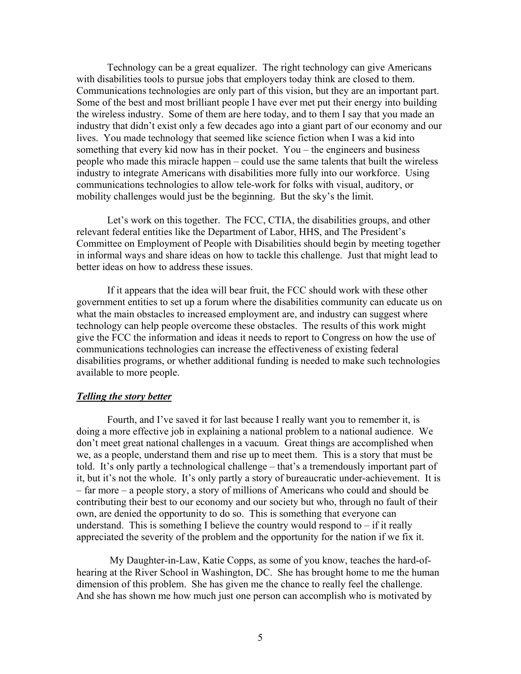Technology can be a great equalizer. The right technology can give Americans with disabilities tools to pursue jobs that employers today think are closed to them. Communications technologies are only part of this vision, but they are an important part. Some of the best and most brilliant people I have ever met put their energy into building the wireless industry. Some of them are here today, and to them I say that you made an industry that didn't exist only a few decades ago into a giant part of our economy and our lives. You made technology that seemed like science fiction when I was a kid into something that every kid now has in their pocket. You – the engineers and business people who made this miracle happen – could use the same talents that built the wireless industry to integrate Americans with disabilities more fully into our workforce. Using communications technologies to allow tele-work for folks with visual, auditory, or mobility challenges would just be the beginning. But the sky's the limit.

Let's work on this together. The FCC, CTIA, the disabilities groups, and other relevant federal entities like the Department of Labor, HHS, and The President's Committee on Employment of People with Disabilities should begin by meeting together in informal ways and share ideas on how to tackle this challenge. Just that might lead to better ideas on how to address these issues.

 If it appears that the idea will bear fruit, the FCC should work with these other government entities to set up a forum where the disabilities community can educate us on what the main obstacles to increased employment are, and industry can suggest where technology can help people overcome these obstacles. The results of this work might give the FCC the information and ideas it needs to report to Congress on how the use of communications technologies can increase the effectiveness of existing federal disabilities programs, or whether additional funding is needed to make such technologies available to more people.

# *Telling the story better*

 Fourth, and I've saved it for last because I really want you to remember it, is doing a more effective job in explaining a national problem to a national audience. We don't meet great national challenges in a vacuum. Great things are accomplished when we, as a people, understand them and rise up to meet them. This is a story that must be told. It's only partly a technological challenge – that's a tremendously important part of it, but it's not the whole. It's only partly a story of bureaucratic under-achievement. It is – far more – a people story, a story of millions of Americans who could and should be contributing their best to our economy and our society but who, through no fault of their own, are denied the opportunity to do so. This is something that everyone can understand. This is something I believe the country would respond to  $-$  if it really appreciated the severity of the problem and the opportunity for the nation if we fix it.

 My Daughter-in-Law, Katie Copps, as some of you know, teaches the hard-ofhearing at the River School in Washington, DC. She has brought home to me the human dimension of this problem. She has given me the chance to really feel the challenge. And she has shown me how much just one person can accomplish who is motivated by